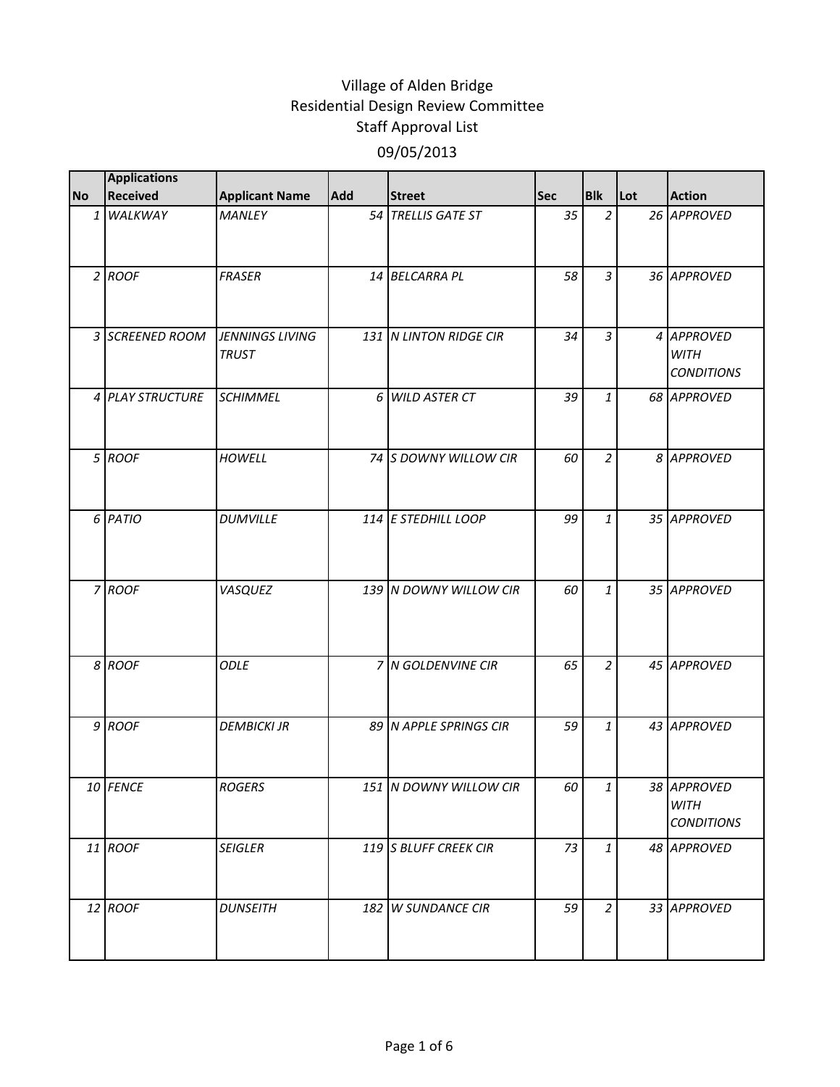|           | <b>Applications</b> |                                 |            |                        |     |                |     |                                                 |
|-----------|---------------------|---------------------------------|------------|------------------------|-----|----------------|-----|-------------------------------------------------|
| <b>No</b> | <b>Received</b>     | <b>Applicant Name</b>           | <b>Add</b> | <b>Street</b>          | Sec | <b>Blk</b>     | Lot | <b>Action</b>                                   |
|           | 1 WALKWAY           | <b>MANLEY</b>                   |            | 54 TRELLIS GATE ST     | 35  | $\overline{2}$ |     | 26 APPROVED                                     |
|           | $2$ ROOF            | <b>FRASER</b>                   |            | 14 BELCARRA PL         | 58  | $\overline{3}$ |     | 36 APPROVED                                     |
|           | 3 SCREENED ROOM     | JENNINGS LIVING<br><b>TRUST</b> |            | 131 N LINTON RIDGE CIR | 34  | $\overline{3}$ |     | 4 APPROVED<br><b>WITH</b><br><b>CONDITIONS</b>  |
|           | 4 PLAY STRUCTURE    | <b>SCHIMMEL</b>                 |            | 6 WILD ASTER CT        | 39  | $\mathbf{1}$   |     | 68 APPROVED                                     |
|           | 5 ROOF              | <b>HOWELL</b>                   |            | 74 S DOWNY WILLOW CIR  | 60  | $\overline{a}$ |     | 8 APPROVED                                      |
|           | 6 PATIO             | <b>DUMVILLE</b>                 |            | 114 E STEDHILL LOOP    | 99  | $\mathbf{1}$   |     | 35 APPROVED                                     |
|           | 7 ROOF              | VASQUEZ                         |            | 139 N DOWNY WILLOW CIR | 60  | $\mathbf{1}$   |     | 35 APPROVED                                     |
|           | 8 ROOF              | <b>ODLE</b>                     |            | 7 N GOLDENVINE CIR     | 65  | $\overline{2}$ |     | 45 APPROVED                                     |
|           | 9 ROOF              | <b>DEMBICKI JR</b>              |            | 89 N APPLE SPRINGS CIR | 59  | $\mathbf{1}$   |     | 43 APPROVED                                     |
|           | 10 FENCE            | <b>ROGERS</b>                   |            | 151 N DOWNY WILLOW CIR | 60  | $\mathbf{1}$   |     | 38 APPROVED<br><b>WITH</b><br><b>CONDITIONS</b> |
|           | 11 ROOF             | <b>SEIGLER</b>                  |            | 119 S BLUFF CREEK CIR  | 73  | $\mathbf{1}$   |     | 48 APPROVED                                     |
|           | 12 ROOF             | <b>DUNSEITH</b>                 |            | 182 W SUNDANCE CIR     | 59  | $\overline{a}$ |     | 33 APPROVED                                     |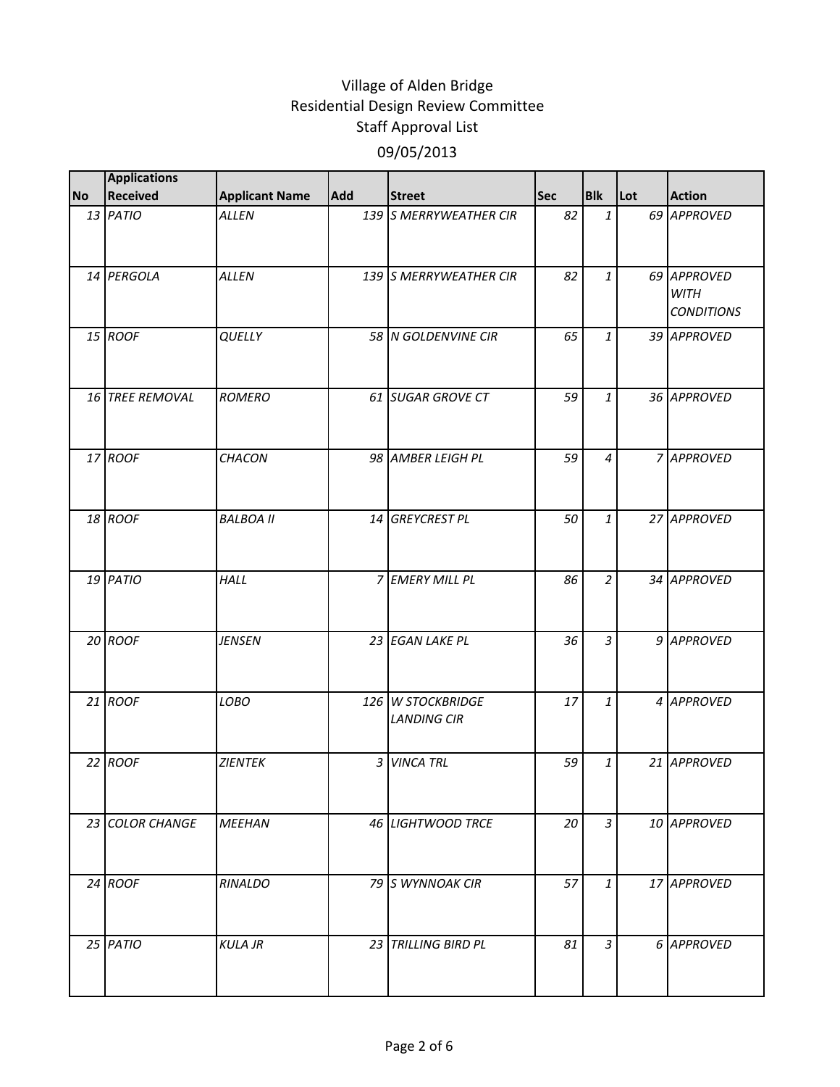|           | <b>Applications</b> |                       |     |                                         |            |                |     |                                                 |
|-----------|---------------------|-----------------------|-----|-----------------------------------------|------------|----------------|-----|-------------------------------------------------|
| <b>No</b> | <b>Received</b>     | <b>Applicant Name</b> | Add | <b>Street</b>                           | <b>Sec</b> | <b>Blk</b>     | Lot | <b>Action</b>                                   |
|           | 13 PATIO            | <b>ALLEN</b>          |     | 139 S MERRYWEATHER CIR                  | 82         | $\mathbf{1}$   |     | 69 APPROVED                                     |
|           | 14 PERGOLA          | <b>ALLEN</b>          |     | 139 S MERRYWEATHER CIR                  | 82         | $\mathbf{1}$   |     | 69 APPROVED<br><b>WITH</b><br><b>CONDITIONS</b> |
|           | 15 ROOF             | QUELLY                |     | 58 N GOLDENVINE CIR                     | 65         | $\mathbf{1}$   |     | 39 APPROVED                                     |
|           | 16 TREE REMOVAL     | <b>ROMERO</b>         |     | 61 SUGAR GROVE CT                       | 59         | $\mathbf{1}$   |     | 36 APPROVED                                     |
|           | 17 ROOF             | CHACON                |     | 98 AMBER LEIGH PL                       | 59         | $\overline{4}$ |     | 7 APPROVED                                      |
|           | 18 ROOF             | <b>BALBOA II</b>      |     | 14 GREYCREST PL                         | 50         | $\mathbf{1}$   |     | 27 APPROVED                                     |
|           | 19 PATIO            | HALL                  |     | 7 EMERY MILL PL                         | 86         | $\overline{a}$ |     | 34 APPROVED                                     |
|           | 20 ROOF             | <b>JENSEN</b>         |     | 23 EGAN LAKE PL                         | 36         | $\overline{3}$ |     | 9 APPROVED                                      |
|           | 21 ROOF             | LOBO                  |     | 126 W STOCKBRIDGE<br><b>LANDING CIR</b> | 17         | $\mathbf{1}$   |     | 4 APPROVED                                      |
|           | 22 ROOF             | <b>ZIENTEK</b>        |     | 3 VINCA TRL                             | 59         | $\mathbf{1}$   |     | 21 APPROVED                                     |
|           | 23 COLOR CHANGE     | <b>MEEHAN</b>         |     | 46 LIGHTWOOD TRCE                       | 20         | $\overline{3}$ |     | 10 APPROVED                                     |
|           | $24$ ROOF           | RINALDO               |     | 79 S WYNNOAK CIR                        | 57         | $\mathbf{1}$   |     | 17 APPROVED                                     |
|           | 25 PATIO            | <b>KULA JR</b>        |     | 23 TRILLING BIRD PL                     | 81         | 3              |     | 6 APPROVED                                      |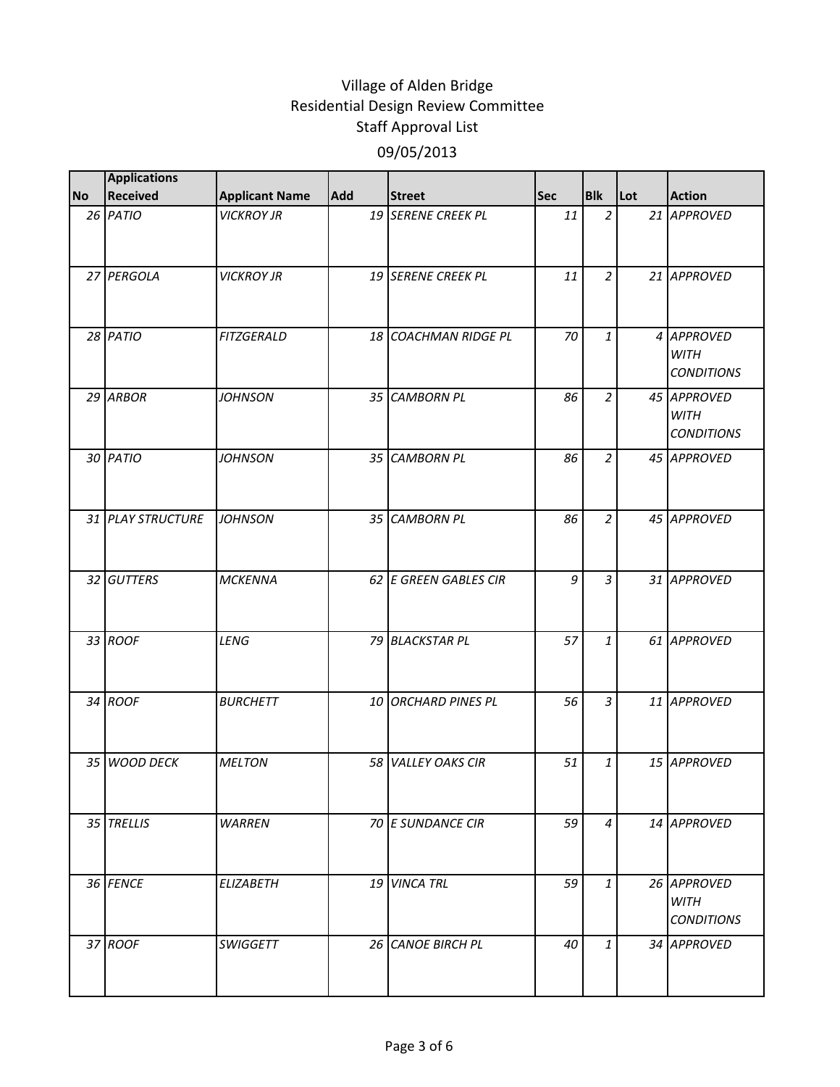|           | <b>Applications</b> |                       |     |                       |     |                |     |                                                 |
|-----------|---------------------|-----------------------|-----|-----------------------|-----|----------------|-----|-------------------------------------------------|
| <b>No</b> | Received            | <b>Applicant Name</b> | Add | <b>Street</b>         | Sec | <b>Blk</b>     | Lot | <b>Action</b>                                   |
|           | 26 PATIO            | <b>VICKROY JR</b>     |     | 19 SERENE CREEK PL    | 11  | $\overline{2}$ |     | 21 APPROVED                                     |
|           | 27 PERGOLA          | <b>VICKROY JR</b>     |     | 19 SERENE CREEK PL    | 11  | $\overline{2}$ |     | 21 APPROVED                                     |
|           | 28 PATIO            | <b>FITZGERALD</b>     |     | 18 COACHMAN RIDGE PL  | 70  | $\mathbf{1}$   |     | 4 APPROVED<br><b>WITH</b><br><b>CONDITIONS</b>  |
|           | 29 ARBOR            | <b>JOHNSON</b>        |     | 35 CAMBORN PL         | 86  | $\overline{a}$ |     | 45 APPROVED<br><b>WITH</b><br><b>CONDITIONS</b> |
|           | 30 PATIO            | <b>JOHNSON</b>        |     | 35 CAMBORN PL         | 86  | $\overline{2}$ |     | 45 APPROVED                                     |
|           | 31 PLAY STRUCTURE   | <b>JOHNSON</b>        |     | 35 CAMBORN PL         | 86  | $\overline{a}$ |     | 45 APPROVED                                     |
|           | 32 GUTTERS          | <b>MCKENNA</b>        |     | 62 E GREEN GABLES CIR | 9   | $\overline{3}$ |     | 31 APPROVED                                     |
|           | 33 ROOF             | LENG                  |     | 79 BLACKSTAR PL       | 57  | $\mathbf{1}$   |     | 61 APPROVED                                     |
|           | 34 ROOF             | <b>BURCHETT</b>       |     | 10 ORCHARD PINES PL   | 56  | $\mathfrak{Z}$ |     | 11 APPROVED                                     |
|           | 35 WOOD DECK        | <b>MELTON</b>         |     | 58 VALLEY OAKS CIR    | 51  | $\mathbf{1}$   |     | 15 APPROVED                                     |
|           | 35 TRELLIS          | <b>WARREN</b>         |     | 70 E SUNDANCE CIR     | 59  | 4              |     | 14 APPROVED                                     |
|           | 36 FENCE            | <b>ELIZABETH</b>      |     | 19 VINCA TRL          | 59  | $\mathbf{1}$   |     | 26 APPROVED<br><b>WITH</b><br><b>CONDITIONS</b> |
|           | 37 ROOF             | <b>SWIGGETT</b>       |     | 26 CANOE BIRCH PL     | 40  | $\mathbf{1}$   |     | 34 APPROVED                                     |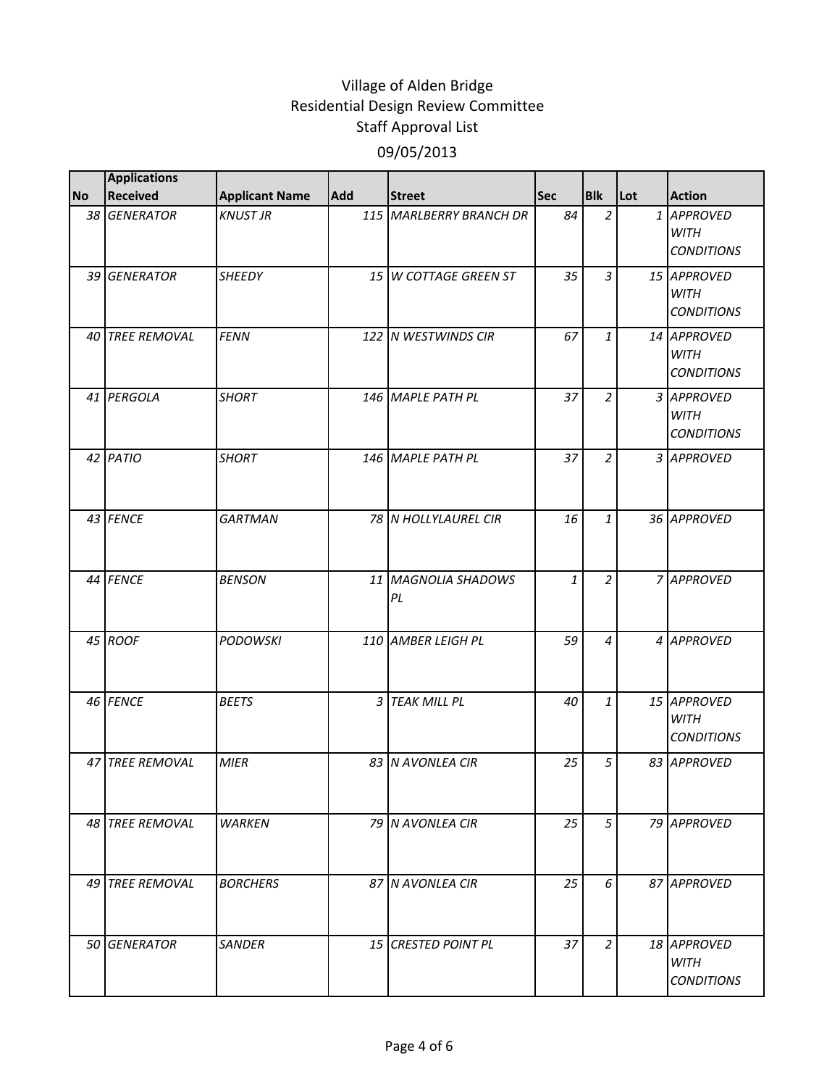|           | <b>Applications</b> |                       |     |                               |            |                |     |                                                 |
|-----------|---------------------|-----------------------|-----|-------------------------------|------------|----------------|-----|-------------------------------------------------|
| <b>No</b> | <b>Received</b>     | <b>Applicant Name</b> | Add | <b>Street</b>                 | <b>Sec</b> | <b>Blk</b>     | Lot | <b>Action</b>                                   |
|           | 38 GENERATOR        | <b>KNUST JR</b>       |     | 115 MARLBERRY BRANCH DR       | 84         | $\overline{a}$ |     | 1 APPROVED<br><b>WITH</b><br><b>CONDITIONS</b>  |
|           | 39 GENERATOR        | <b>SHEEDY</b>         |     | 15 W COTTAGE GREEN ST         | 35         | $\overline{3}$ |     | 15 APPROVED<br><b>WITH</b><br><b>CONDITIONS</b> |
|           | 40 TREE REMOVAL     | <b>FENN</b>           |     | 122 N WESTWINDS CIR           | 67         | $\mathbf{1}$   |     | 14 APPROVED<br><b>WITH</b><br><b>CONDITIONS</b> |
|           | 41 PERGOLA          | <b>SHORT</b>          |     | 146 MAPLE PATH PL             | 37         | $\overline{a}$ |     | 3 APPROVED<br><b>WITH</b><br><b>CONDITIONS</b>  |
|           | 42 PATIO            | <b>SHORT</b>          |     | 146 MAPLE PATH PL             | 37         | $\overline{2}$ |     | 3 APPROVED                                      |
|           | 43 FENCE            | <b>GARTMAN</b>        |     | 78 N HOLLYLAUREL CIR          | 16         | $\mathbf{1}$   |     | 36 APPROVED                                     |
|           | 44 FENCE            | <b>BENSON</b>         | 11  | <b>MAGNOLIA SHADOWS</b><br>PL | 1          | $\overline{a}$ |     | 7 APPROVED                                      |
|           | 45 ROOF             | <b>PODOWSKI</b>       |     | 110 AMBER LEIGH PL            | 59         | 4              |     | 4 APPROVED                                      |
|           | 46 FENCE            | <b>BEETS</b>          |     | 3 TEAK MILL PL                | 40         | $\mathbf{1}$   |     | 15 APPROVED<br><b>WITH</b><br><b>CONDITIONS</b> |
|           | 47 TREE REMOVAL     | <b>MIER</b>           |     | 83 N AVONLEA CIR              | 25         | 5              |     | 83 APPROVED                                     |
|           | 48 TREE REMOVAL     | <b>WARKEN</b>         |     | 79 N AVONLEA CIR              | 25         | 5              |     | 79 APPROVED                                     |
|           | 49 TREE REMOVAL     | <b>BORCHERS</b>       |     | 87 N AVONLEA CIR              | 25         | 6              |     | 87 APPROVED                                     |
|           | 50 GENERATOR        | <b>SANDER</b>         |     | <b>15 CRESTED POINT PL</b>    | 37         | $\overline{2}$ |     | 18 APPROVED<br><b>WITH</b><br><b>CONDITIONS</b> |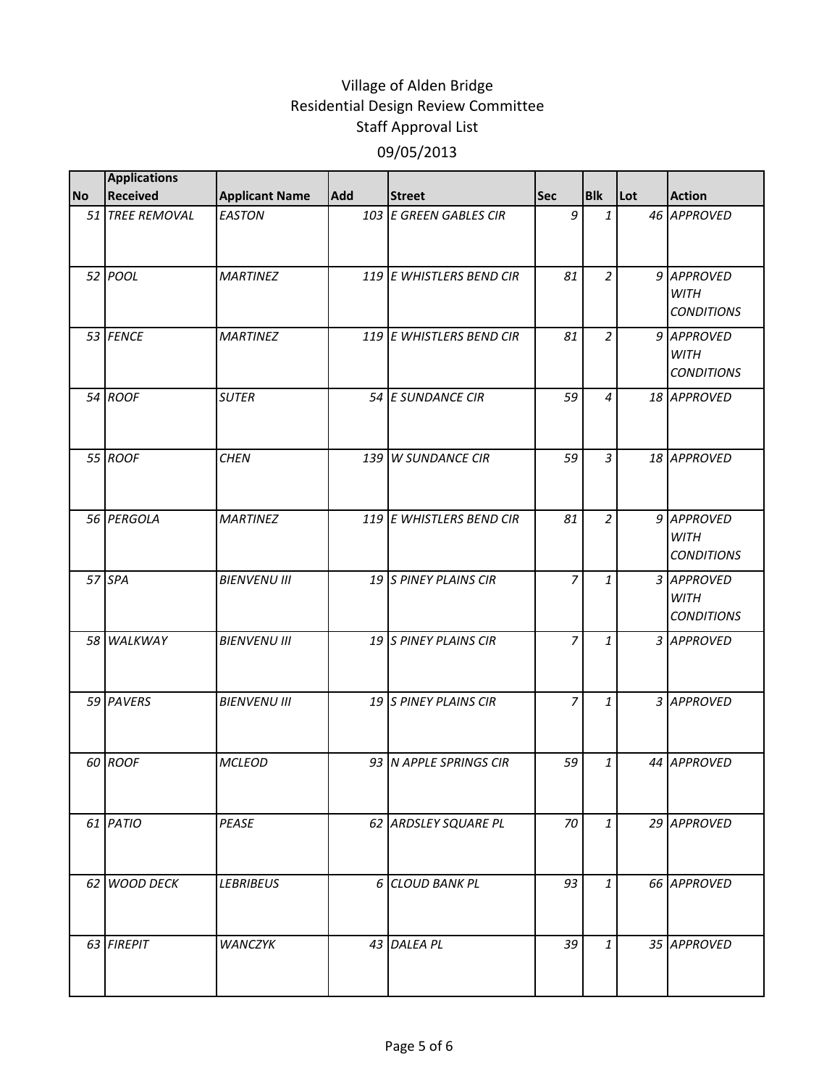|           | <b>Applications</b> |                       |     |                          |                |                |     |                                                |
|-----------|---------------------|-----------------------|-----|--------------------------|----------------|----------------|-----|------------------------------------------------|
| <b>No</b> | <b>Received</b>     | <b>Applicant Name</b> | Add | <b>Street</b>            | <b>Sec</b>     | <b>Blk</b>     | Lot | <b>Action</b>                                  |
|           | 51 TREE REMOVAL     | <b>EASTON</b>         |     | 103 E GREEN GABLES CIR   | 9              | $\mathbf{1}$   |     | 46 APPROVED                                    |
|           | 52 POOL             | <b>MARTINEZ</b>       |     | 119 E WHISTLERS BEND CIR | 81             | $\overline{a}$ |     | 9 APPROVED<br><b>WITH</b><br><b>CONDITIONS</b> |
|           | 53 FENCE            | <b>MARTINEZ</b>       |     | 119 E WHISTLERS BEND CIR | 81             | $\overline{2}$ |     | 9 APPROVED<br><b>WITH</b><br><b>CONDITIONS</b> |
|           | 54 ROOF             | <b>SUTER</b>          |     | 54 E SUNDANCE CIR        | 59             | $\overline{4}$ |     | 18 APPROVED                                    |
|           | 55 ROOF             | <b>CHEN</b>           |     | 139 W SUNDANCE CIR       | 59             | $\overline{3}$ |     | 18 APPROVED                                    |
|           | 56 PERGOLA          | <b>MARTINEZ</b>       |     | 119 E WHISTLERS BEND CIR | 81             | $\overline{2}$ |     | 9 APPROVED<br><b>WITH</b><br><b>CONDITIONS</b> |
|           | 57 SPA              | <b>BIENVENU III</b>   |     | 19 S PINEY PLAINS CIR    | 7              | 1              |     | 3 APPROVED<br><b>WITH</b><br><b>CONDITIONS</b> |
|           | 58 WALKWAY          | <b>BIENVENU III</b>   |     | 19 S PINEY PLAINS CIR    | $\overline{7}$ | $\mathbf{1}$   |     | 3 APPROVED                                     |
|           | 59 PAVERS           | <b>BIENVENU III</b>   |     | 19 S PINEY PLAINS CIR    | 7              | 1              |     | 3 APPROVED                                     |
|           | 60 ROOF             | <b>MCLEOD</b>         |     | 93 N APPLE SPRINGS CIR   | 59             | $\mathbf{1}$   |     | 44 APPROVED                                    |
|           | 61 PATIO            | PEASE                 |     | 62 ARDSLEY SQUARE PL     | 70             | $\mathbf{1}$   |     | 29 APPROVED                                    |
|           | 62 WOOD DECK        | <b>LEBRIBEUS</b>      |     | 6 CLOUD BANK PL          | 93             | $\mathbf{1}$   |     | 66 APPROVED                                    |
|           | 63 FIREPIT          | <b>WANCZYK</b>        |     | 43 DALEA PL              | 39             | $\mathbf{1}$   |     | 35 APPROVED                                    |